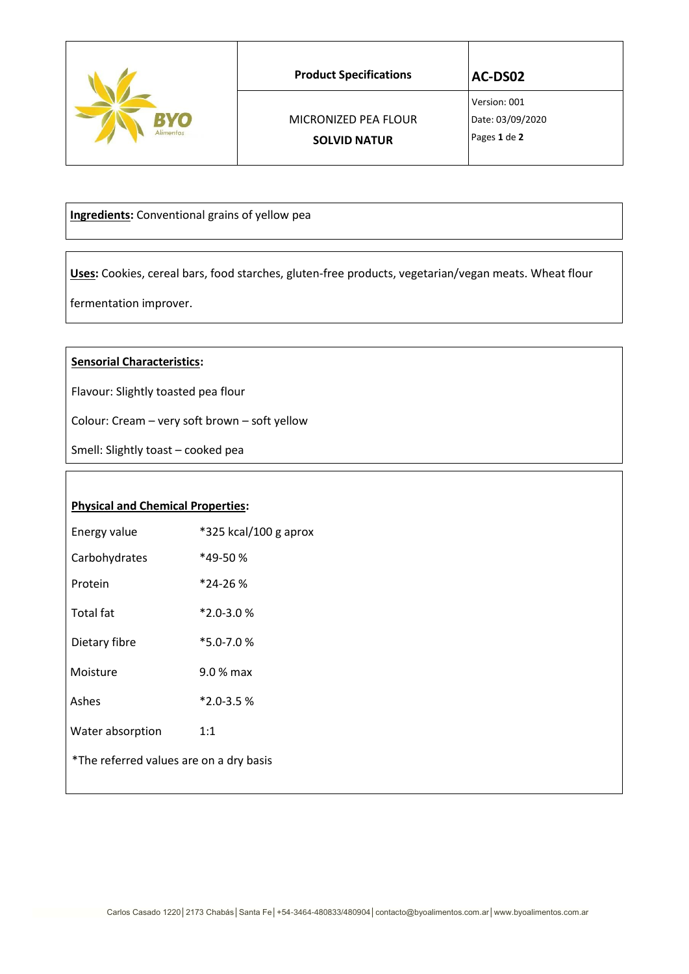|                  | <b>Product Specifications</b>               | AC-DS02                                          |
|------------------|---------------------------------------------|--------------------------------------------------|
| VO.<br>Alimentos | MICRONIZED PEA FLOUR<br><b>SOLVID NATUR</b> | Version: 001<br>Date: 03/09/2020<br>Pages 1 de 2 |

 **Ingredients:** Conventional grains of yellow pea

 **Uses:** Cookies, cereal bars, food starches, gluten-free products, vegetarian/vegan meats. Wheat flour

fermentation improver.

## **Sensorial Characteristics:**

Flavour: Slightly toasted pea flour

Colour: Cream – very soft brown – soft yellow

Smell: Slightly toast – cooked pea

## **Physical and Chemical Properties:**

| Energy value                            | $*325$ kcal/100 g aprox |
|-----------------------------------------|-------------------------|
| Carbohydrates                           | *49-50 %                |
| Protein                                 | *24-26 %                |
| <b>Total fat</b>                        | $*2.0 - 3.0 %$          |
| Dietary fibre                           | $*5.0 - 7.0%$           |
| Moisture                                | 9.0 % max               |
| Ashes                                   | $*2.0 - 3.5%$           |
| Water absorption                        | 1:1                     |
| *The referred values are on a dry basis |                         |
|                                         |                         |